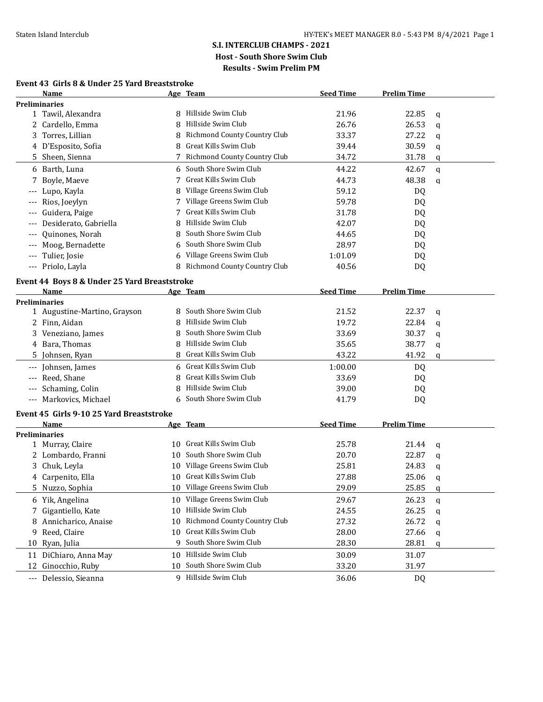#### **Event 43 Girls 8 & Under 25 Yard Breaststroke**

|                     | 13 0 & 011uci <i>23</i> 1aiu Dicasts<br>Name |    | <u>Age Team</u>              | <b>Seed Time</b> | <b>Prelim Time</b> |             |
|---------------------|----------------------------------------------|----|------------------------------|------------------|--------------------|-------------|
|                     | <b>Preliminaries</b>                         |    |                              |                  |                    |             |
|                     | 1 Tawil, Alexandra                           |    | 8 Hillside Swim Club         | 21.96            | 22.85              | q           |
|                     | 2 Cardello, Emma                             | 8  | Hillside Swim Club           | 26.76            | 26.53              | $\mathbf q$ |
| 3                   | Torres, Lillian                              | 8  | Richmond County Country Club | 33.37            | 27.22              | q           |
|                     | 4 D'Esposito, Sofia                          | 8  | Great Kills Swim Club        | 39.44            | 30.59              | q           |
|                     | 5 Sheen, Sienna                              | 7  | Richmond County Country Club | 34.72            | 31.78              | q           |
|                     | 6 Barth, Luna                                | 6. | South Shore Swim Club        | 44.22            | 42.67              | $\mathbf q$ |
| 7                   | Boyle, Maeve                                 | 7  | Great Kills Swim Club        | 44.73            | 48.38              | q           |
|                     | Lupo, Kayla                                  | 8  | Village Greens Swim Club     | 59.12            | DQ                 |             |
|                     | Rios, Joeylyn                                |    | Village Greens Swim Club     | 59.78            | DQ                 |             |
|                     | Guidera, Paige                               | 7  | Great Kills Swim Club        | 31.78            | DQ                 |             |
|                     | Desiderato, Gabriella                        | 8  | Hillside Swim Club           | 42.07            | DQ                 |             |
|                     | Quinones, Norah                              | 8  | South Shore Swim Club        | 44.65            | DQ                 |             |
| $---$               | Moog, Bernadette                             |    | South Shore Swim Club        | 28.97            | DQ                 |             |
| $---$               | Tulier, Josie                                |    | Village Greens Swim Club     | 1:01.09          | DQ                 |             |
| $\qquad \qquad - -$ | Priolo, Layla                                | 8  | Richmond County Country Club | 40.56            | DQ                 |             |
|                     | Event 44 Boys 8 & Under 25 Yard Breaststroke |    |                              |                  |                    |             |
|                     | Name                                         |    | Age Team                     | <b>Seed Time</b> | <b>Prelim Time</b> |             |
|                     | <b>Preliminaries</b>                         |    |                              |                  |                    |             |
|                     | 1 Augustine-Martino, Grayson                 |    | South Shore Swim Club        | 21.52            | 22.37              | $\mathbf q$ |
|                     | 2 Finn, Aidan                                | 8  | Hillside Swim Club           | 19.72            | 22.84              | $\mathbf q$ |
|                     | 3 Veneziano, James                           | 8  | South Shore Swim Club        | 33.69            | 30.37              | q           |
|                     | 4 Bara, Thomas                               | 8  | Hillside Swim Club           | 35.65            | 38.77              | q           |
|                     | 5 Johnsen, Ryan                              | 8  | Great Kills Swim Club        | 43.22            | 41.92              | q           |
|                     | Johnsen, James                               | 6  | Great Kills Swim Club        | 1:00.00          | <b>DQ</b>          |             |
|                     | Reed, Shane                                  |    | Great Kills Swim Club        | 33.69            | DQ                 |             |
|                     | Schaming, Colin                              |    | Hillside Swim Club           | 39.00            | DQ                 |             |
| $\qquad \qquad - -$ | Markovics, Michael                           |    | 6 South Shore Swim Club      | 41.79            | DQ                 |             |
|                     | Event 45 Girls 9-10 25 Yard Breaststroke     |    |                              |                  |                    |             |
|                     | Name                                         |    | Age Team                     | <b>Seed Time</b> | <b>Prelim Time</b> |             |
|                     | <b>Preliminaries</b>                         |    |                              |                  |                    |             |
|                     | 1 Murray, Claire                             |    | 10 Great Kills Swim Club     | 25.78            | 21.44              | q           |
|                     | 2 Lombardo, Franni                           |    | 10 South Shore Swim Club     | 20.70            | 22.87              | q           |
| 3                   | Chuk, Leyla                                  |    | 10 Village Greens Swim Club  | 25.81            | 24.83              | q           |
|                     | 4 Carpenito, Ella                            |    | 10 Great Kills Swim Club     | 27.88            | 25.06              | q           |
| 5.                  | Nuzzo, Sophia                                |    | 10 Village Greens Swim Club  | 29.09            | 25.85              | q           |
|                     | 6 Yik, Angelina                              | 10 | Village Greens Swim Club     | 29.67            | 26.23              | q           |
|                     | 7 Gigantiello, Kate                          | 10 | Hillside Swim Club           | 24.55            | 26.25              | q           |
|                     | 8 Annicharico, Anaise                        | 10 | Richmond County Country Club | 27.32            | 26.72              | q           |
| 9                   | Reed, Claire                                 | 10 | Great Kills Swim Club        | 28.00            | 27.66              | q           |
| 10                  | Ryan, Julia                                  | 9  | South Shore Swim Club        | 28.30            | 28.81              | q           |
|                     | 11 DiChiaro, Anna May                        |    | 10 Hillside Swim Club        | 30.09            | 31.07              |             |
|                     | 12 Ginocchio, Ruby                           | 10 | South Shore Swim Club        | 33.20            | 31.97              |             |
|                     | --- Delessio, Sieanna                        |    | 9 Hillside Swim Club         | 36.06            | <b>DQ</b>          |             |
|                     |                                              |    |                              |                  |                    |             |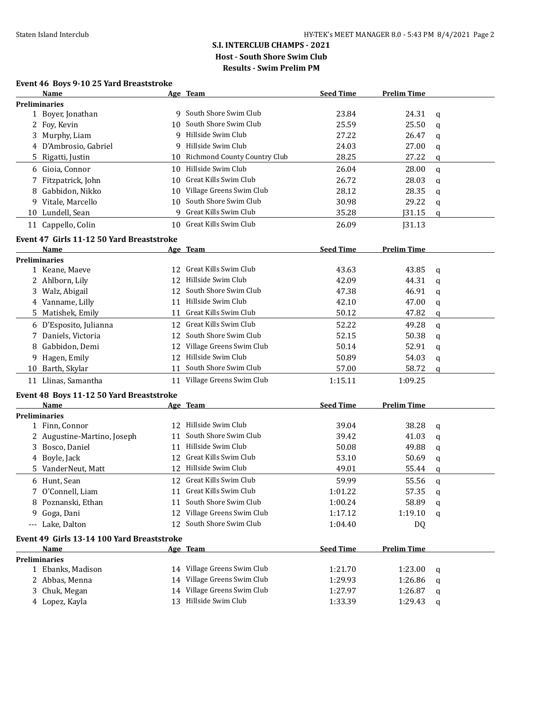## **Event 46 Boys 9-10 25 Yard Breaststroke**

|    | Name                                       |    | Age Team                            | <b>Seed Time</b> | <b>Prelim Time</b> |             |
|----|--------------------------------------------|----|-------------------------------------|------------------|--------------------|-------------|
|    | <b>Preliminaries</b>                       |    |                                     |                  |                    |             |
|    | 1 Boyer, Jonathan                          |    | 9 South Shore Swim Club             | 23.84            | 24.31              | q           |
|    | 2 Foy, Kevin                               | 10 | South Shore Swim Club               | 25.59            | 25.50              | q           |
|    | 3 Murphy, Liam                             | 9  | Hillside Swim Club                  | 27.22            | 26.47              | q           |
|    | 4 D'Ambrosio, Gabriel                      | 9  | Hillside Swim Club                  | 24.03            | 27.00              | q           |
|    | 5 Rigatti, Justin                          | 10 | <b>Richmond County Country Club</b> | 28.25            | 27.22              | q           |
| 6  | Gioia, Connor                              | 10 | Hillside Swim Club                  | 26.04            | 28.00              | $\mathbf q$ |
| 7  | Fitzpatrick, John                          | 10 | Great Kills Swim Club               | 26.72            | 28.03              | q           |
| 8  | Gabbidon, Nikko                            | 10 | Village Greens Swim Club            | 28.12            | 28.35              | q           |
| 9. | Vitale, Marcello                           | 10 | South Shore Swim Club               | 30.98            | 29.22              | q           |
|    | 10 Lundell, Sean                           | 9  | Great Kills Swim Club               | 35.28            | J31.15             | q           |
|    | 11 Cappello, Colin                         | 10 | Great Kills Swim Club               | 26.09            | J31.13             |             |
|    |                                            |    |                                     |                  |                    |             |
|    | Event 47 Girls 11-12 50 Yard Breaststroke  |    |                                     |                  |                    |             |
|    | Name                                       |    | Age Team                            | <b>Seed Time</b> | <b>Prelim Time</b> |             |
|    | <b>Preliminaries</b><br>1 Keane, Maeve     |    | 12 Great Kills Swim Club            | 43.63            | 43.85              |             |
|    | 2 Ahlborn, Lily                            | 12 | Hillside Swim Club                  | 42.09            | 44.31              | q           |
|    | 3 Walz, Abigail                            |    | 12 South Shore Swim Club            | 47.38            | 46.91              | $\mathbf q$ |
|    | 4 Vanname, Lilly                           | 11 | Hillside Swim Club                  | 42.10            | 47.00              | q           |
|    | 5 Matishek, Emily                          | 11 | Great Kills Swim Club               | 50.12            | 47.82              | q           |
|    |                                            |    |                                     |                  |                    | q           |
|    | 6 D'Esposito, Julianna                     | 12 | Great Kills Swim Club               | 52.22            | 49.28              | q           |
| 7  | Daniels, Victoria                          | 12 | South Shore Swim Club               | 52.15            | 50.38              | q           |
| 8  | Gabbidon, Demi                             | 12 | Village Greens Swim Club            | 50.14            | 52.91              | q           |
| 9  | Hagen, Emily                               | 12 | Hillside Swim Club                  | 50.89            | 54.03              | q           |
|    | 10 Barth, Skylar                           | 11 | South Shore Swim Club               | 57.00            | 58.72              | q           |
|    | 11 Llinas, Samantha                        |    | 11 Village Greens Swim Club         | 1:15.11          | 1:09.25            |             |
|    | Event 48 Boys 11-12 50 Yard Breaststroke   |    |                                     |                  |                    |             |
|    | Name                                       |    | Age Team                            | <b>Seed Time</b> | <b>Prelim Time</b> |             |
|    | <b>Preliminaries</b>                       |    |                                     |                  |                    |             |
|    | 1 Finn, Connor                             | 12 | Hillside Swim Club                  | 39.04            | 38.28              | q           |
|    | 2 Augustine-Martino, Joseph                | 11 | South Shore Swim Club               | 39.42            | 41.03              | q           |
|    | 3 Bosco, Daniel                            | 11 | Hillside Swim Club                  | 50.08            | 49.88              | q           |
|    | 4 Boyle, Jack                              |    | 12 Great Kills Swim Club            | 53.10            | 50.69              | q           |
|    | 5 VanderNeut, Matt                         |    | 12 Hillside Swim Club               | 49.01            | 55.44              | q           |
|    | 6 Hunt, Sean                               |    | 12 Great Kills Swim Club            | 59.99            | 55.56              | q           |
|    | O'Connell, Liam                            |    | 11 Great Kills Swim Club            | 1:01.22          | 57.35              | q           |
|    | 8 Poznanski, Ethan                         |    | 11 South Shore Swim Club            | 1:00.24          | 58.89              | q           |
|    | 9 Goga, Dani                               |    | 12 Village Greens Swim Club         | 1:17.12          | 1:19.10            | q           |
|    | --- Lake, Dalton                           |    | 12 South Shore Swim Club            | 1:04.40          | DQ                 |             |
|    | Event 49 Girls 13-14 100 Yard Breaststroke |    |                                     |                  |                    |             |
|    | Name                                       |    | Age Team                            | <b>Seed Time</b> | <b>Prelim Time</b> |             |
|    | <b>Preliminaries</b>                       |    |                                     |                  |                    |             |
|    | 1 Ebanks, Madison                          |    | 14 Village Greens Swim Club         | 1:21.70          | 1:23.00            | q           |
|    | 2 Abbas, Menna                             |    | 14 Village Greens Swim Club         | 1:29.93          | 1:26.86            | q           |
|    | 3 Chuk, Megan                              |    | 14 Village Greens Swim Club         | 1:27.97          | 1:26.87            | q           |
|    | 4 Lopez, Kayla                             |    | 13 Hillside Swim Club               | 1:33.39          | 1:29.43            | q           |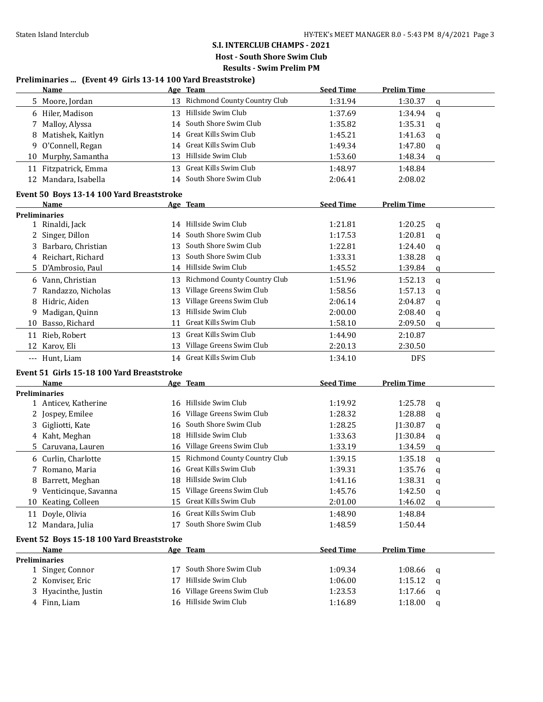## **S.I. INTERCLUB CHAMPS - 2021 Host - South Shore Swim Club**

**Results - Swim Prelim PM**

### **Preliminaries ... (Event 49 Girls 13-14 100 Yard Breaststroke)**

|                                           | Name                 |    | Age Team                     | <b>Seed Time</b> | <b>Prelim Time</b> |          |  |
|-------------------------------------------|----------------------|----|------------------------------|------------------|--------------------|----------|--|
| 5.                                        | Moore, Jordan        | 13 | Richmond County Country Club | 1:31.94          | 1:30.37            | q        |  |
| 6                                         | Hiler, Madison       | 13 | Hillside Swim Club           | 1:37.69          | 1:34.94            | a        |  |
|                                           | Malloy, Alyssa       | 14 | South Shore Swim Club        | 1:35.82          | 1:35.31            | a        |  |
| 8                                         | Matishek, Kaitlyn    | 14 | Great Kills Swim Club        | 1:45.21          | 1:41.63            | a        |  |
| 9                                         | O'Connell, Regan     | 14 | Great Kills Swim Club        | 1:49.34          | 1:47.80            | q        |  |
| 10                                        | Murphy, Samantha     | 13 | Hillside Swim Club           | 1:53.60          | 1:48.34            | q        |  |
| 11                                        | Fitzpatrick, Emma    | 13 | Great Kills Swim Club        | 1:48.97          | 1:48.84            |          |  |
|                                           | 12 Mandara, Isabella | 14 | South Shore Swim Club        | 2:06.41          | 2:08.02            |          |  |
| Event 50 Boys 13-14 100 Yard Breaststroke |                      |    |                              |                  |                    |          |  |
|                                           | Name                 |    | Age Team                     | <b>Seed Time</b> | <b>Prelim Time</b> |          |  |
|                                           | <b>Preliminaries</b> |    |                              |                  |                    |          |  |
|                                           | 1 Rinaldi, Jack      | 14 | Hillside Swim Club           | 1:21.81          | 1:20.25            | a        |  |
|                                           | Singer, Dillon       | 14 | South Shore Swim Club        | 1:17.53          | 1:20.81            | a        |  |
| 3.                                        | Barbaro, Christian   | 13 | South Shore Swim Club        | 1:22.81          | 1:24.40            | q        |  |
|                                           | 4 Reichart, Richard  | 13 | South Shore Swim Club        | 1:33.31          | 1:38.28            | q        |  |
|                                           | 5 D'Ambrosio, Paul   | 14 | Hillside Swim Club           | 1:45.52          | 1:39.84            | q        |  |
| 6                                         | Vann, Christian      | 13 | Richmond County Country Club | 1:51.96          | 1:52.13            | $\alpha$ |  |
|                                           | Randazzo, Nicholas   | 13 | Village Greens Swim Club     | 1:58.56          | 1:57.13            | q        |  |
| 8                                         | Hidric, Aiden        | 13 | Village Greens Swim Club     | 2:06.14          | 2:04.87            | a        |  |
| 9                                         | Madigan, Quinn       | 13 | Hillside Swim Club           | 2:00.00          | 2:08.40            | q        |  |
| 10                                        | Basso, Richard       | 11 | Great Kills Swim Club        | 1:58.10          | 2:09.50            | q        |  |
| 11                                        | Rieb, Robert         | 13 | Great Kills Swim Club        | 1:44.90          | 2:10.87            |          |  |
| 12                                        | Karov, Eli           | 13 | Village Greens Swim Club     | 2:20.13          | 2:30.50            |          |  |
| $---$                                     | Hunt, Liam           |    | 14 Great Kills Swim Club     | 1:34.10          | <b>DFS</b>         |          |  |

## **Event 51 Girls 15-18 100 Yard Breaststroke**

|                      | Name                                      |    | Age Team                            | <b>Seed Time</b> | <b>Prelim Time</b> |   |  |  |
|----------------------|-------------------------------------------|----|-------------------------------------|------------------|--------------------|---|--|--|
| <b>Preliminaries</b> |                                           |    |                                     |                  |                    |   |  |  |
|                      | 1 Anticey, Katherine                      | 16 | Hillside Swim Club                  | 1:19.92          | 1:25.78            | a |  |  |
|                      | 2 Jospey, Emilee                          | 16 | Village Greens Swim Club            | 1:28.32          | 1:28.88            | q |  |  |
| 3                    | Gigliotti, Kate                           | 16 | South Shore Swim Club               | 1:28.25          | J1:30.87           | a |  |  |
|                      | 4 Kaht, Meghan                            | 18 | Hillside Swim Club                  | 1:33.63          | J1:30.84           | q |  |  |
|                      | 5 Caruvana, Lauren                        | 16 | Village Greens Swim Club            | 1:33.19          | 1:34.59            | q |  |  |
|                      | 6 Curlin, Charlotte                       | 15 | <b>Richmond County Country Club</b> | 1:39.15          | 1:35.18            | a |  |  |
|                      | Romano, Maria                             | 16 | Great Kills Swim Club               | 1:39.31          | 1:35.76            | a |  |  |
| 8                    | Barrett, Meghan                           | 18 | Hillside Swim Club                  | 1:41.16          | 1:38.31            | q |  |  |
| 9                    | Venticinque, Savanna                      | 15 | Village Greens Swim Club            | 1:45.76          | 1:42.50            | q |  |  |
| 10                   | Keating, Colleen                          | 15 | Great Kills Swim Club               | 2:01.00          | 1:46.02            | q |  |  |
|                      | 11 Doyle, Olivia                          | 16 | Great Kills Swim Club               | 1:48.90          | 1:48.84            |   |  |  |
|                      | 12 Mandara, Julia                         | 17 | South Shore Swim Club               | 1:48.59          | 1:50.44            |   |  |  |
|                      | Event 52 Boys 15-18 100 Yard Breaststroke |    |                                     |                  |                    |   |  |  |
|                      | Name                                      |    | Age Team                            | <b>Seed Time</b> | <b>Prelim Time</b> |   |  |  |
|                      | <b>Preliminaries</b>                      |    |                                     |                  |                    |   |  |  |
|                      | Singer, Connor                            | 17 | South Shore Swim Club               | 1:09.34          | 1:08.66            | a |  |  |
|                      | 2 Konviser, Eric                          | 17 | Hillside Swim Club                  | 1:06.00          | 1:15.12            | q |  |  |
|                      | 3 Hyacinthe, Justin                       | 16 | Village Greens Swim Club            | 1:23.53          | 1:17.66            | q |  |  |
|                      | 4 Finn, Liam                              | 16 | Hillside Swim Club                  | 1:16.89          | 1:18.00            | q |  |  |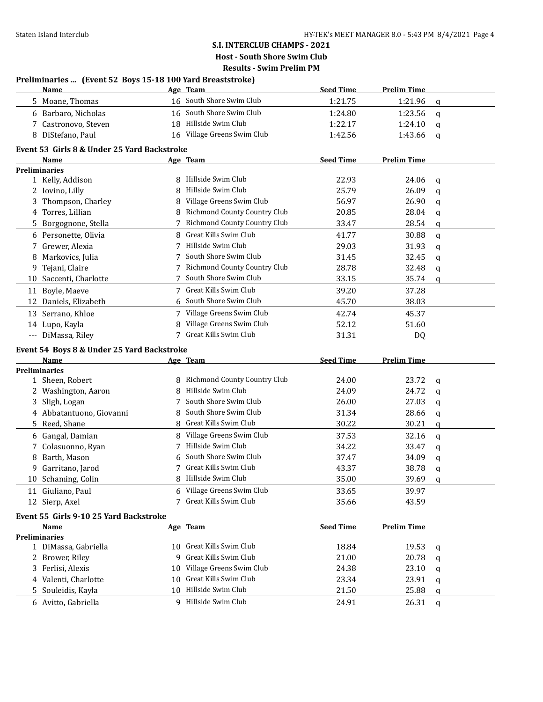## **S.I. INTERCLUB CHAMPS - 2021 Host - South Shore Swim Club**

**Results - Swim Prelim PM**

| <b>Seed Time</b><br><b>Prelim Time</b><br>Name<br>Age Team<br>16 South Shore Swim Club<br>5 Moane, Thomas<br>1:21.75<br>1:21.96<br>q<br>16 South Shore Swim Club<br>6 Barbaro, Nicholas<br>1:24.80<br>1:23.56<br>q<br>18 Hillside Swim Club<br>7 Castronovo, Steven<br>1:22.17<br>1:24.10<br>q<br>16 Village Greens Swim Club<br>8 DiStefano, Paul<br>1:42.56<br>1:43.66<br>q<br>Event 53 Girls 8 & Under 25 Yard Backstroke<br><b>Seed Time</b><br><b>Prelim Time</b><br>Name<br>Age Team<br><b>Preliminaries</b><br>Hillside Swim Club<br>1 Kelly, Addison<br>8<br>22.93<br>24.06<br>q<br>Hillside Swim Club<br>2 Iovino, Lilly<br>25.79<br>26.09<br>8<br>q<br>Thompson, Charley<br>Village Greens Swim Club<br>56.97<br>26.90<br>3<br>8<br>q<br>Richmond County Country Club<br>4 Torres, Lillian<br>20.85<br>28.04<br>8<br>q<br>Richmond County Country Club<br>5 Borgognone, Stella<br>28.54<br>7<br>33.47<br>q<br>Great Kills Swim Club<br>6 Personette, Olivia<br>8<br>41.77<br>30.88<br>$\mathbf q$<br>Hillside Swim Club<br>7 Grewer, Alexia<br>29.03<br>31.93<br>7<br>q<br>South Shore Swim Club<br>8 Markovics, Julia<br>32.45<br>31.45<br>q<br>7 Richmond County Country Club<br>9 Tejani, Claire<br>28.78<br>32.48<br>q<br>South Shore Swim Club<br>10 Saccenti, Charlotte<br>33.15<br>35.74<br>q<br>7 Great Kills Swim Club<br>Boyle, Maeve<br>39.20<br>37.28<br>11<br>South Shore Swim Club<br>45.70<br>12 Daniels, Elizabeth<br>6<br>38.03<br>7 Village Greens Swim Club<br>13 Serrano, Khloe<br>42.74<br>45.37<br>Village Greens Swim Club<br>14 Lupo, Kayla<br>8<br>52.12<br>51.60<br>Great Kills Swim Club<br>--- DiMassa, Riley<br>31.31<br>7<br>DQ<br>Event 54 Boys 8 & Under 25 Yard Backstroke<br><b>Seed Time</b><br><b>Prelim Time</b><br>Name<br>Age Team<br><b>Preliminaries</b><br>Richmond County Country Club<br>24.00<br>23.72<br>1 Sheen, Robert<br>8<br>q<br>Hillside Swim Club<br>2 Washington, Aaron<br>24.09<br>24.72<br>8<br>q<br>South Shore Swim Club<br>Sligh, Logan<br>26.00<br>27.03<br>3<br>7<br>q<br>South Shore Swim Club<br>4 Abbatantuono, Giovanni<br>31.34<br>28.66<br>8<br>q<br>Great Kills Swim Club<br>5 Reed, Shane<br>30.22<br>30.21<br>8<br>q<br>8 Village Greens Swim Club<br>6 Gangal, Damian<br>37.53<br>32.16<br>q<br>Hillside Swim Club<br>7 Colasuonno, Ryan<br>34.22<br>33.47<br>7<br>q<br>South Shore Swim Club<br>Barth, Mason<br>37.47<br>34.09<br>6<br>8<br>q<br>7 Great Kills Swim Club<br>43.37<br>38.78<br>9 Garritano, Jarod<br>$\mathbf q$<br>Hillside Swim Club<br>10 Schaming, Colin<br>8<br>35.00<br>39.69<br>a<br>Village Greens Swim Club<br>11 Giuliano, Paul<br>6<br>33.65<br>39.97<br>Great Kills Swim Club<br>12 Sierp, Axel<br>35.66<br>43.59<br>Event 55 Girls 9-10 25 Yard Backstroke<br><b>Seed Time</b><br><b>Prelim Time</b><br><b>Name</b><br>Age Team<br><b>Preliminaries</b><br>10 Great Kills Swim Club<br>1 DiMassa, Gabriella<br>18.84<br>19.53<br>q<br>Great Kills Swim Club<br>2 Brower, Riley<br>21.00<br>20.78<br>9<br>q<br>Village Greens Swim Club<br>3 Ferlisi, Alexis<br>24.38<br>23.10<br>10<br>q<br>Great Kills Swim Club<br>4 Valenti, Charlotte<br>23.34<br>23.91<br>10<br>q<br>Hillside Swim Club<br>5 Souleidis, Kayla<br>10<br>21.50<br>25.88<br>q | Preliminaries  (Event 52 Boys 15-18 100 Yard Breaststroke) |  |  |  |  |  |
|---------------------------------------------------------------------------------------------------------------------------------------------------------------------------------------------------------------------------------------------------------------------------------------------------------------------------------------------------------------------------------------------------------------------------------------------------------------------------------------------------------------------------------------------------------------------------------------------------------------------------------------------------------------------------------------------------------------------------------------------------------------------------------------------------------------------------------------------------------------------------------------------------------------------------------------------------------------------------------------------------------------------------------------------------------------------------------------------------------------------------------------------------------------------------------------------------------------------------------------------------------------------------------------------------------------------------------------------------------------------------------------------------------------------------------------------------------------------------------------------------------------------------------------------------------------------------------------------------------------------------------------------------------------------------------------------------------------------------------------------------------------------------------------------------------------------------------------------------------------------------------------------------------------------------------------------------------------------------------------------------------------------------------------------------------------------------------------------------------------------------------------------------------------------------------------------------------------------------------------------------------------------------------------------------------------------------------------------------------------------------------------------------------------------------------------------------------------------------------------------------------------------------------------------------------------------------------------------------------------------------------------------------------------------------------------------------------------------------------------------------------------------------------------------------------------------------------------------------------------------------------------------------------------------------------------------------------------------------------------------------------------------------------------------------------------------------------------------------------------------------------------------------------------------------------------------------------------------------------------------------------------|------------------------------------------------------------|--|--|--|--|--|
|                                                                                                                                                                                                                                                                                                                                                                                                                                                                                                                                                                                                                                                                                                                                                                                                                                                                                                                                                                                                                                                                                                                                                                                                                                                                                                                                                                                                                                                                                                                                                                                                                                                                                                                                                                                                                                                                                                                                                                                                                                                                                                                                                                                                                                                                                                                                                                                                                                                                                                                                                                                                                                                                                                                                                                                                                                                                                                                                                                                                                                                                                                                                                                                                                                                               |                                                            |  |  |  |  |  |
|                                                                                                                                                                                                                                                                                                                                                                                                                                                                                                                                                                                                                                                                                                                                                                                                                                                                                                                                                                                                                                                                                                                                                                                                                                                                                                                                                                                                                                                                                                                                                                                                                                                                                                                                                                                                                                                                                                                                                                                                                                                                                                                                                                                                                                                                                                                                                                                                                                                                                                                                                                                                                                                                                                                                                                                                                                                                                                                                                                                                                                                                                                                                                                                                                                                               |                                                            |  |  |  |  |  |
|                                                                                                                                                                                                                                                                                                                                                                                                                                                                                                                                                                                                                                                                                                                                                                                                                                                                                                                                                                                                                                                                                                                                                                                                                                                                                                                                                                                                                                                                                                                                                                                                                                                                                                                                                                                                                                                                                                                                                                                                                                                                                                                                                                                                                                                                                                                                                                                                                                                                                                                                                                                                                                                                                                                                                                                                                                                                                                                                                                                                                                                                                                                                                                                                                                                               |                                                            |  |  |  |  |  |
|                                                                                                                                                                                                                                                                                                                                                                                                                                                                                                                                                                                                                                                                                                                                                                                                                                                                                                                                                                                                                                                                                                                                                                                                                                                                                                                                                                                                                                                                                                                                                                                                                                                                                                                                                                                                                                                                                                                                                                                                                                                                                                                                                                                                                                                                                                                                                                                                                                                                                                                                                                                                                                                                                                                                                                                                                                                                                                                                                                                                                                                                                                                                                                                                                                                               |                                                            |  |  |  |  |  |
|                                                                                                                                                                                                                                                                                                                                                                                                                                                                                                                                                                                                                                                                                                                                                                                                                                                                                                                                                                                                                                                                                                                                                                                                                                                                                                                                                                                                                                                                                                                                                                                                                                                                                                                                                                                                                                                                                                                                                                                                                                                                                                                                                                                                                                                                                                                                                                                                                                                                                                                                                                                                                                                                                                                                                                                                                                                                                                                                                                                                                                                                                                                                                                                                                                                               |                                                            |  |  |  |  |  |
|                                                                                                                                                                                                                                                                                                                                                                                                                                                                                                                                                                                                                                                                                                                                                                                                                                                                                                                                                                                                                                                                                                                                                                                                                                                                                                                                                                                                                                                                                                                                                                                                                                                                                                                                                                                                                                                                                                                                                                                                                                                                                                                                                                                                                                                                                                                                                                                                                                                                                                                                                                                                                                                                                                                                                                                                                                                                                                                                                                                                                                                                                                                                                                                                                                                               |                                                            |  |  |  |  |  |
|                                                                                                                                                                                                                                                                                                                                                                                                                                                                                                                                                                                                                                                                                                                                                                                                                                                                                                                                                                                                                                                                                                                                                                                                                                                                                                                                                                                                                                                                                                                                                                                                                                                                                                                                                                                                                                                                                                                                                                                                                                                                                                                                                                                                                                                                                                                                                                                                                                                                                                                                                                                                                                                                                                                                                                                                                                                                                                                                                                                                                                                                                                                                                                                                                                                               |                                                            |  |  |  |  |  |
|                                                                                                                                                                                                                                                                                                                                                                                                                                                                                                                                                                                                                                                                                                                                                                                                                                                                                                                                                                                                                                                                                                                                                                                                                                                                                                                                                                                                                                                                                                                                                                                                                                                                                                                                                                                                                                                                                                                                                                                                                                                                                                                                                                                                                                                                                                                                                                                                                                                                                                                                                                                                                                                                                                                                                                                                                                                                                                                                                                                                                                                                                                                                                                                                                                                               |                                                            |  |  |  |  |  |
|                                                                                                                                                                                                                                                                                                                                                                                                                                                                                                                                                                                                                                                                                                                                                                                                                                                                                                                                                                                                                                                                                                                                                                                                                                                                                                                                                                                                                                                                                                                                                                                                                                                                                                                                                                                                                                                                                                                                                                                                                                                                                                                                                                                                                                                                                                                                                                                                                                                                                                                                                                                                                                                                                                                                                                                                                                                                                                                                                                                                                                                                                                                                                                                                                                                               |                                                            |  |  |  |  |  |
|                                                                                                                                                                                                                                                                                                                                                                                                                                                                                                                                                                                                                                                                                                                                                                                                                                                                                                                                                                                                                                                                                                                                                                                                                                                                                                                                                                                                                                                                                                                                                                                                                                                                                                                                                                                                                                                                                                                                                                                                                                                                                                                                                                                                                                                                                                                                                                                                                                                                                                                                                                                                                                                                                                                                                                                                                                                                                                                                                                                                                                                                                                                                                                                                                                                               |                                                            |  |  |  |  |  |
|                                                                                                                                                                                                                                                                                                                                                                                                                                                                                                                                                                                                                                                                                                                                                                                                                                                                                                                                                                                                                                                                                                                                                                                                                                                                                                                                                                                                                                                                                                                                                                                                                                                                                                                                                                                                                                                                                                                                                                                                                                                                                                                                                                                                                                                                                                                                                                                                                                                                                                                                                                                                                                                                                                                                                                                                                                                                                                                                                                                                                                                                                                                                                                                                                                                               |                                                            |  |  |  |  |  |
|                                                                                                                                                                                                                                                                                                                                                                                                                                                                                                                                                                                                                                                                                                                                                                                                                                                                                                                                                                                                                                                                                                                                                                                                                                                                                                                                                                                                                                                                                                                                                                                                                                                                                                                                                                                                                                                                                                                                                                                                                                                                                                                                                                                                                                                                                                                                                                                                                                                                                                                                                                                                                                                                                                                                                                                                                                                                                                                                                                                                                                                                                                                                                                                                                                                               |                                                            |  |  |  |  |  |
|                                                                                                                                                                                                                                                                                                                                                                                                                                                                                                                                                                                                                                                                                                                                                                                                                                                                                                                                                                                                                                                                                                                                                                                                                                                                                                                                                                                                                                                                                                                                                                                                                                                                                                                                                                                                                                                                                                                                                                                                                                                                                                                                                                                                                                                                                                                                                                                                                                                                                                                                                                                                                                                                                                                                                                                                                                                                                                                                                                                                                                                                                                                                                                                                                                                               |                                                            |  |  |  |  |  |
|                                                                                                                                                                                                                                                                                                                                                                                                                                                                                                                                                                                                                                                                                                                                                                                                                                                                                                                                                                                                                                                                                                                                                                                                                                                                                                                                                                                                                                                                                                                                                                                                                                                                                                                                                                                                                                                                                                                                                                                                                                                                                                                                                                                                                                                                                                                                                                                                                                                                                                                                                                                                                                                                                                                                                                                                                                                                                                                                                                                                                                                                                                                                                                                                                                                               |                                                            |  |  |  |  |  |
|                                                                                                                                                                                                                                                                                                                                                                                                                                                                                                                                                                                                                                                                                                                                                                                                                                                                                                                                                                                                                                                                                                                                                                                                                                                                                                                                                                                                                                                                                                                                                                                                                                                                                                                                                                                                                                                                                                                                                                                                                                                                                                                                                                                                                                                                                                                                                                                                                                                                                                                                                                                                                                                                                                                                                                                                                                                                                                                                                                                                                                                                                                                                                                                                                                                               |                                                            |  |  |  |  |  |
|                                                                                                                                                                                                                                                                                                                                                                                                                                                                                                                                                                                                                                                                                                                                                                                                                                                                                                                                                                                                                                                                                                                                                                                                                                                                                                                                                                                                                                                                                                                                                                                                                                                                                                                                                                                                                                                                                                                                                                                                                                                                                                                                                                                                                                                                                                                                                                                                                                                                                                                                                                                                                                                                                                                                                                                                                                                                                                                                                                                                                                                                                                                                                                                                                                                               |                                                            |  |  |  |  |  |
|                                                                                                                                                                                                                                                                                                                                                                                                                                                                                                                                                                                                                                                                                                                                                                                                                                                                                                                                                                                                                                                                                                                                                                                                                                                                                                                                                                                                                                                                                                                                                                                                                                                                                                                                                                                                                                                                                                                                                                                                                                                                                                                                                                                                                                                                                                                                                                                                                                                                                                                                                                                                                                                                                                                                                                                                                                                                                                                                                                                                                                                                                                                                                                                                                                                               |                                                            |  |  |  |  |  |
|                                                                                                                                                                                                                                                                                                                                                                                                                                                                                                                                                                                                                                                                                                                                                                                                                                                                                                                                                                                                                                                                                                                                                                                                                                                                                                                                                                                                                                                                                                                                                                                                                                                                                                                                                                                                                                                                                                                                                                                                                                                                                                                                                                                                                                                                                                                                                                                                                                                                                                                                                                                                                                                                                                                                                                                                                                                                                                                                                                                                                                                                                                                                                                                                                                                               |                                                            |  |  |  |  |  |
|                                                                                                                                                                                                                                                                                                                                                                                                                                                                                                                                                                                                                                                                                                                                                                                                                                                                                                                                                                                                                                                                                                                                                                                                                                                                                                                                                                                                                                                                                                                                                                                                                                                                                                                                                                                                                                                                                                                                                                                                                                                                                                                                                                                                                                                                                                                                                                                                                                                                                                                                                                                                                                                                                                                                                                                                                                                                                                                                                                                                                                                                                                                                                                                                                                                               |                                                            |  |  |  |  |  |
|                                                                                                                                                                                                                                                                                                                                                                                                                                                                                                                                                                                                                                                                                                                                                                                                                                                                                                                                                                                                                                                                                                                                                                                                                                                                                                                                                                                                                                                                                                                                                                                                                                                                                                                                                                                                                                                                                                                                                                                                                                                                                                                                                                                                                                                                                                                                                                                                                                                                                                                                                                                                                                                                                                                                                                                                                                                                                                                                                                                                                                                                                                                                                                                                                                                               |                                                            |  |  |  |  |  |
|                                                                                                                                                                                                                                                                                                                                                                                                                                                                                                                                                                                                                                                                                                                                                                                                                                                                                                                                                                                                                                                                                                                                                                                                                                                                                                                                                                                                                                                                                                                                                                                                                                                                                                                                                                                                                                                                                                                                                                                                                                                                                                                                                                                                                                                                                                                                                                                                                                                                                                                                                                                                                                                                                                                                                                                                                                                                                                                                                                                                                                                                                                                                                                                                                                                               |                                                            |  |  |  |  |  |
|                                                                                                                                                                                                                                                                                                                                                                                                                                                                                                                                                                                                                                                                                                                                                                                                                                                                                                                                                                                                                                                                                                                                                                                                                                                                                                                                                                                                                                                                                                                                                                                                                                                                                                                                                                                                                                                                                                                                                                                                                                                                                                                                                                                                                                                                                                                                                                                                                                                                                                                                                                                                                                                                                                                                                                                                                                                                                                                                                                                                                                                                                                                                                                                                                                                               |                                                            |  |  |  |  |  |
|                                                                                                                                                                                                                                                                                                                                                                                                                                                                                                                                                                                                                                                                                                                                                                                                                                                                                                                                                                                                                                                                                                                                                                                                                                                                                                                                                                                                                                                                                                                                                                                                                                                                                                                                                                                                                                                                                                                                                                                                                                                                                                                                                                                                                                                                                                                                                                                                                                                                                                                                                                                                                                                                                                                                                                                                                                                                                                                                                                                                                                                                                                                                                                                                                                                               |                                                            |  |  |  |  |  |
|                                                                                                                                                                                                                                                                                                                                                                                                                                                                                                                                                                                                                                                                                                                                                                                                                                                                                                                                                                                                                                                                                                                                                                                                                                                                                                                                                                                                                                                                                                                                                                                                                                                                                                                                                                                                                                                                                                                                                                                                                                                                                                                                                                                                                                                                                                                                                                                                                                                                                                                                                                                                                                                                                                                                                                                                                                                                                                                                                                                                                                                                                                                                                                                                                                                               |                                                            |  |  |  |  |  |
|                                                                                                                                                                                                                                                                                                                                                                                                                                                                                                                                                                                                                                                                                                                                                                                                                                                                                                                                                                                                                                                                                                                                                                                                                                                                                                                                                                                                                                                                                                                                                                                                                                                                                                                                                                                                                                                                                                                                                                                                                                                                                                                                                                                                                                                                                                                                                                                                                                                                                                                                                                                                                                                                                                                                                                                                                                                                                                                                                                                                                                                                                                                                                                                                                                                               |                                                            |  |  |  |  |  |
|                                                                                                                                                                                                                                                                                                                                                                                                                                                                                                                                                                                                                                                                                                                                                                                                                                                                                                                                                                                                                                                                                                                                                                                                                                                                                                                                                                                                                                                                                                                                                                                                                                                                                                                                                                                                                                                                                                                                                                                                                                                                                                                                                                                                                                                                                                                                                                                                                                                                                                                                                                                                                                                                                                                                                                                                                                                                                                                                                                                                                                                                                                                                                                                                                                                               |                                                            |  |  |  |  |  |
|                                                                                                                                                                                                                                                                                                                                                                                                                                                                                                                                                                                                                                                                                                                                                                                                                                                                                                                                                                                                                                                                                                                                                                                                                                                                                                                                                                                                                                                                                                                                                                                                                                                                                                                                                                                                                                                                                                                                                                                                                                                                                                                                                                                                                                                                                                                                                                                                                                                                                                                                                                                                                                                                                                                                                                                                                                                                                                                                                                                                                                                                                                                                                                                                                                                               |                                                            |  |  |  |  |  |
|                                                                                                                                                                                                                                                                                                                                                                                                                                                                                                                                                                                                                                                                                                                                                                                                                                                                                                                                                                                                                                                                                                                                                                                                                                                                                                                                                                                                                                                                                                                                                                                                                                                                                                                                                                                                                                                                                                                                                                                                                                                                                                                                                                                                                                                                                                                                                                                                                                                                                                                                                                                                                                                                                                                                                                                                                                                                                                                                                                                                                                                                                                                                                                                                                                                               |                                                            |  |  |  |  |  |
|                                                                                                                                                                                                                                                                                                                                                                                                                                                                                                                                                                                                                                                                                                                                                                                                                                                                                                                                                                                                                                                                                                                                                                                                                                                                                                                                                                                                                                                                                                                                                                                                                                                                                                                                                                                                                                                                                                                                                                                                                                                                                                                                                                                                                                                                                                                                                                                                                                                                                                                                                                                                                                                                                                                                                                                                                                                                                                                                                                                                                                                                                                                                                                                                                                                               |                                                            |  |  |  |  |  |
|                                                                                                                                                                                                                                                                                                                                                                                                                                                                                                                                                                                                                                                                                                                                                                                                                                                                                                                                                                                                                                                                                                                                                                                                                                                                                                                                                                                                                                                                                                                                                                                                                                                                                                                                                                                                                                                                                                                                                                                                                                                                                                                                                                                                                                                                                                                                                                                                                                                                                                                                                                                                                                                                                                                                                                                                                                                                                                                                                                                                                                                                                                                                                                                                                                                               |                                                            |  |  |  |  |  |
|                                                                                                                                                                                                                                                                                                                                                                                                                                                                                                                                                                                                                                                                                                                                                                                                                                                                                                                                                                                                                                                                                                                                                                                                                                                                                                                                                                                                                                                                                                                                                                                                                                                                                                                                                                                                                                                                                                                                                                                                                                                                                                                                                                                                                                                                                                                                                                                                                                                                                                                                                                                                                                                                                                                                                                                                                                                                                                                                                                                                                                                                                                                                                                                                                                                               |                                                            |  |  |  |  |  |
|                                                                                                                                                                                                                                                                                                                                                                                                                                                                                                                                                                                                                                                                                                                                                                                                                                                                                                                                                                                                                                                                                                                                                                                                                                                                                                                                                                                                                                                                                                                                                                                                                                                                                                                                                                                                                                                                                                                                                                                                                                                                                                                                                                                                                                                                                                                                                                                                                                                                                                                                                                                                                                                                                                                                                                                                                                                                                                                                                                                                                                                                                                                                                                                                                                                               |                                                            |  |  |  |  |  |
|                                                                                                                                                                                                                                                                                                                                                                                                                                                                                                                                                                                                                                                                                                                                                                                                                                                                                                                                                                                                                                                                                                                                                                                                                                                                                                                                                                                                                                                                                                                                                                                                                                                                                                                                                                                                                                                                                                                                                                                                                                                                                                                                                                                                                                                                                                                                                                                                                                                                                                                                                                                                                                                                                                                                                                                                                                                                                                                                                                                                                                                                                                                                                                                                                                                               |                                                            |  |  |  |  |  |
|                                                                                                                                                                                                                                                                                                                                                                                                                                                                                                                                                                                                                                                                                                                                                                                                                                                                                                                                                                                                                                                                                                                                                                                                                                                                                                                                                                                                                                                                                                                                                                                                                                                                                                                                                                                                                                                                                                                                                                                                                                                                                                                                                                                                                                                                                                                                                                                                                                                                                                                                                                                                                                                                                                                                                                                                                                                                                                                                                                                                                                                                                                                                                                                                                                                               |                                                            |  |  |  |  |  |
|                                                                                                                                                                                                                                                                                                                                                                                                                                                                                                                                                                                                                                                                                                                                                                                                                                                                                                                                                                                                                                                                                                                                                                                                                                                                                                                                                                                                                                                                                                                                                                                                                                                                                                                                                                                                                                                                                                                                                                                                                                                                                                                                                                                                                                                                                                                                                                                                                                                                                                                                                                                                                                                                                                                                                                                                                                                                                                                                                                                                                                                                                                                                                                                                                                                               |                                                            |  |  |  |  |  |
|                                                                                                                                                                                                                                                                                                                                                                                                                                                                                                                                                                                                                                                                                                                                                                                                                                                                                                                                                                                                                                                                                                                                                                                                                                                                                                                                                                                                                                                                                                                                                                                                                                                                                                                                                                                                                                                                                                                                                                                                                                                                                                                                                                                                                                                                                                                                                                                                                                                                                                                                                                                                                                                                                                                                                                                                                                                                                                                                                                                                                                                                                                                                                                                                                                                               |                                                            |  |  |  |  |  |
|                                                                                                                                                                                                                                                                                                                                                                                                                                                                                                                                                                                                                                                                                                                                                                                                                                                                                                                                                                                                                                                                                                                                                                                                                                                                                                                                                                                                                                                                                                                                                                                                                                                                                                                                                                                                                                                                                                                                                                                                                                                                                                                                                                                                                                                                                                                                                                                                                                                                                                                                                                                                                                                                                                                                                                                                                                                                                                                                                                                                                                                                                                                                                                                                                                                               |                                                            |  |  |  |  |  |
|                                                                                                                                                                                                                                                                                                                                                                                                                                                                                                                                                                                                                                                                                                                                                                                                                                                                                                                                                                                                                                                                                                                                                                                                                                                                                                                                                                                                                                                                                                                                                                                                                                                                                                                                                                                                                                                                                                                                                                                                                                                                                                                                                                                                                                                                                                                                                                                                                                                                                                                                                                                                                                                                                                                                                                                                                                                                                                                                                                                                                                                                                                                                                                                                                                                               |                                                            |  |  |  |  |  |
|                                                                                                                                                                                                                                                                                                                                                                                                                                                                                                                                                                                                                                                                                                                                                                                                                                                                                                                                                                                                                                                                                                                                                                                                                                                                                                                                                                                                                                                                                                                                                                                                                                                                                                                                                                                                                                                                                                                                                                                                                                                                                                                                                                                                                                                                                                                                                                                                                                                                                                                                                                                                                                                                                                                                                                                                                                                                                                                                                                                                                                                                                                                                                                                                                                                               |                                                            |  |  |  |  |  |
|                                                                                                                                                                                                                                                                                                                                                                                                                                                                                                                                                                                                                                                                                                                                                                                                                                                                                                                                                                                                                                                                                                                                                                                                                                                                                                                                                                                                                                                                                                                                                                                                                                                                                                                                                                                                                                                                                                                                                                                                                                                                                                                                                                                                                                                                                                                                                                                                                                                                                                                                                                                                                                                                                                                                                                                                                                                                                                                                                                                                                                                                                                                                                                                                                                                               |                                                            |  |  |  |  |  |
|                                                                                                                                                                                                                                                                                                                                                                                                                                                                                                                                                                                                                                                                                                                                                                                                                                                                                                                                                                                                                                                                                                                                                                                                                                                                                                                                                                                                                                                                                                                                                                                                                                                                                                                                                                                                                                                                                                                                                                                                                                                                                                                                                                                                                                                                                                                                                                                                                                                                                                                                                                                                                                                                                                                                                                                                                                                                                                                                                                                                                                                                                                                                                                                                                                                               |                                                            |  |  |  |  |  |
|                                                                                                                                                                                                                                                                                                                                                                                                                                                                                                                                                                                                                                                                                                                                                                                                                                                                                                                                                                                                                                                                                                                                                                                                                                                                                                                                                                                                                                                                                                                                                                                                                                                                                                                                                                                                                                                                                                                                                                                                                                                                                                                                                                                                                                                                                                                                                                                                                                                                                                                                                                                                                                                                                                                                                                                                                                                                                                                                                                                                                                                                                                                                                                                                                                                               |                                                            |  |  |  |  |  |
|                                                                                                                                                                                                                                                                                                                                                                                                                                                                                                                                                                                                                                                                                                                                                                                                                                                                                                                                                                                                                                                                                                                                                                                                                                                                                                                                                                                                                                                                                                                                                                                                                                                                                                                                                                                                                                                                                                                                                                                                                                                                                                                                                                                                                                                                                                                                                                                                                                                                                                                                                                                                                                                                                                                                                                                                                                                                                                                                                                                                                                                                                                                                                                                                                                                               |                                                            |  |  |  |  |  |
|                                                                                                                                                                                                                                                                                                                                                                                                                                                                                                                                                                                                                                                                                                                                                                                                                                                                                                                                                                                                                                                                                                                                                                                                                                                                                                                                                                                                                                                                                                                                                                                                                                                                                                                                                                                                                                                                                                                                                                                                                                                                                                                                                                                                                                                                                                                                                                                                                                                                                                                                                                                                                                                                                                                                                                                                                                                                                                                                                                                                                                                                                                                                                                                                                                                               |                                                            |  |  |  |  |  |
|                                                                                                                                                                                                                                                                                                                                                                                                                                                                                                                                                                                                                                                                                                                                                                                                                                                                                                                                                                                                                                                                                                                                                                                                                                                                                                                                                                                                                                                                                                                                                                                                                                                                                                                                                                                                                                                                                                                                                                                                                                                                                                                                                                                                                                                                                                                                                                                                                                                                                                                                                                                                                                                                                                                                                                                                                                                                                                                                                                                                                                                                                                                                                                                                                                                               |                                                            |  |  |  |  |  |
|                                                                                                                                                                                                                                                                                                                                                                                                                                                                                                                                                                                                                                                                                                                                                                                                                                                                                                                                                                                                                                                                                                                                                                                                                                                                                                                                                                                                                                                                                                                                                                                                                                                                                                                                                                                                                                                                                                                                                                                                                                                                                                                                                                                                                                                                                                                                                                                                                                                                                                                                                                                                                                                                                                                                                                                                                                                                                                                                                                                                                                                                                                                                                                                                                                                               |                                                            |  |  |  |  |  |
| 9 Hillside Swim Club<br>6 Avitto, Gabriella<br>24.91<br>26.31<br>q                                                                                                                                                                                                                                                                                                                                                                                                                                                                                                                                                                                                                                                                                                                                                                                                                                                                                                                                                                                                                                                                                                                                                                                                                                                                                                                                                                                                                                                                                                                                                                                                                                                                                                                                                                                                                                                                                                                                                                                                                                                                                                                                                                                                                                                                                                                                                                                                                                                                                                                                                                                                                                                                                                                                                                                                                                                                                                                                                                                                                                                                                                                                                                                            |                                                            |  |  |  |  |  |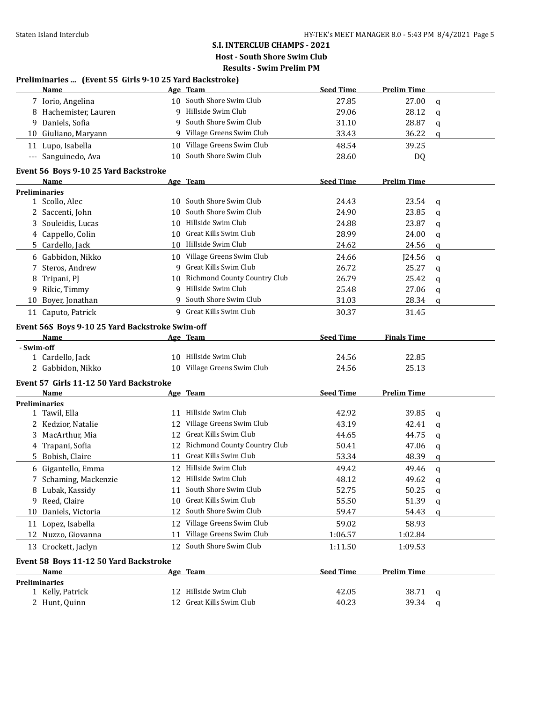**Preliminaries ... (Event 55 Girls 9-10 25 Yard Backstroke)**

# **S.I. INTERCLUB CHAMPS - 2021**

**Host - South Shore Swim Club Results - Swim Prelim PM**

|            | <b>Name</b>                                     |    | Age Team                        | <b>Seed Time</b> | <b>Prelim Time</b> |   |
|------------|-------------------------------------------------|----|---------------------------------|------------------|--------------------|---|
|            | 7 Iorio, Angelina                               |    | 10 South Shore Swim Club        | 27.85            | 27.00              | q |
|            | 8 Hachemister, Lauren                           |    | 9 Hillside Swim Club            | 29.06            | 28.12              | q |
| 9.         | Daniels, Sofia                                  |    | South Shore Swim Club           | 31.10            | 28.87              | q |
|            | 10 Giuliano, Maryann                            |    | 9 Village Greens Swim Club      | 33.43            | 36.22              | q |
|            | 11 Lupo, Isabella                               |    | 10 Village Greens Swim Club     | 48.54            | 39.25              |   |
|            | --- Sanguinedo, Ava                             |    | 10 South Shore Swim Club        | 28.60            | DQ                 |   |
|            | Event 56 Boys 9-10 25 Yard Backstroke           |    |                                 |                  |                    |   |
|            | Name                                            |    | Age Team                        | <b>Seed Time</b> | <b>Prelim Time</b> |   |
|            | <b>Preliminaries</b>                            |    |                                 |                  |                    |   |
|            | 1 Scollo, Alec                                  |    | 10 South Shore Swim Club        | 24.43            | 23.54              | q |
|            | 2 Saccenti, John                                |    | 10 South Shore Swim Club        | 24.90            | 23.85              | q |
|            | 3 Souleidis, Lucas                              |    | 10 Hillside Swim Club           | 24.88            | 23.87              | q |
|            | 4 Cappello, Colin                               |    | 10 Great Kills Swim Club        | 28.99            | 24.00              | q |
|            | 5 Cardello, Jack                                |    | 10 Hillside Swim Club           | 24.62            | 24.56              | q |
|            | 6 Gabbidon, Nikko                               |    | 10 Village Greens Swim Club     | 24.66            | J24.56             | q |
| 7          | Steros, Andrew                                  |    | 9 Great Kills Swim Club         | 26.72            | 25.27              | q |
| 8          | Tripani, PJ                                     | 10 | Richmond County Country Club    | 26.79            | 25.42              | q |
|            | 9 Rikic, Timmy                                  |    | 9 Hillside Swim Club            | 25.48            | 27.06              | q |
| 10         | Boyer, Jonathan                                 |    | 9 South Shore Swim Club         | 31.03            | 28.34              | q |
|            | 11 Caputo, Patrick                              |    | 9 Great Kills Swim Club         | 30.37            | 31.45              |   |
|            | Event 56S Boys 9-10 25 Yard Backstroke Swim-off |    |                                 |                  |                    |   |
|            | Name                                            |    | Age Team                        | <b>Seed Time</b> | <b>Finals Time</b> |   |
| - Swim-off |                                                 |    |                                 |                  |                    |   |
|            | 1 Cardello, Jack                                |    | 10 Hillside Swim Club           | 24.56            | 22.85              |   |
|            | 2 Gabbidon, Nikko                               |    | 10 Village Greens Swim Club     | 24.56            | 25.13              |   |
|            | Event 57 Girls 11-12 50 Yard Backstroke         |    |                                 |                  |                    |   |
|            | Name                                            |    | Age Team                        | <b>Seed Time</b> | <b>Prelim Time</b> |   |
|            | <b>Preliminaries</b>                            |    |                                 |                  |                    |   |
|            | 1 Tawil, Ella                                   |    | 11 Hillside Swim Club           | 42.92            | 39.85              | q |
|            | 2 Kedzior, Natalie                              |    | 12 Village Greens Swim Club     | 43.19            | 42.41              | q |
|            | 3 MacArthur, Mia                                |    | 12 Great Kills Swim Club        | 44.65            | 44.75              | q |
|            | 4 Trapani, Sofia                                |    | 12 Richmond County Country Club | 50.41            | 47.06              | q |
|            | 5 Bobish, Claire                                |    | 11 Great Kills Swim Club        | 53.34            | 48.39              | q |
|            | 6 Gigantello, Emma                              |    | 12 Hillside Swim Club           | 49.42            | 49.46              | q |
|            | 7 Schaming, Mackenzie                           |    | 12 Hillside Swim Club           | 48.12            | 49.62              | a |
|            | 8 Lubak, Kassidy                                |    | 11 South Shore Swim Club        | 52.75            | 50.25              | q |
|            | 9 Reed, Claire                                  | 10 | Great Kills Swim Club           | 55.50            | 51.39              | q |
|            | 10 Daniels, Victoria                            |    | 12 South Shore Swim Club        | 59.47            | 54.43              | q |
|            | 11 Lopez, Isabella                              |    | 12 Village Greens Swim Club     | 59.02            | 58.93              |   |
|            | 12 Nuzzo, Giovanna                              |    | 11 Village Greens Swim Club     | 1:06.57          | 1:02.84            |   |
|            | 13 Crockett, Jaclyn                             |    | 12 South Shore Swim Club        | 1:11.50          | 1:09.53            |   |
|            | Event 58 Boys 11-12 50 Yard Backstroke          |    |                                 |                  |                    |   |
|            | Name                                            |    | Age Team                        | <b>Seed Time</b> | <b>Prelim Time</b> |   |
|            | <b>Preliminaries</b>                            |    |                                 |                  |                    |   |
|            | 1 Kelly, Patrick                                |    | 12 Hillside Swim Club           | 42.05            | 38.71              | q |
|            | 2 Hunt, Quinn                                   |    | 12 Great Kills Swim Club        | 40.23            | 39.34              | q |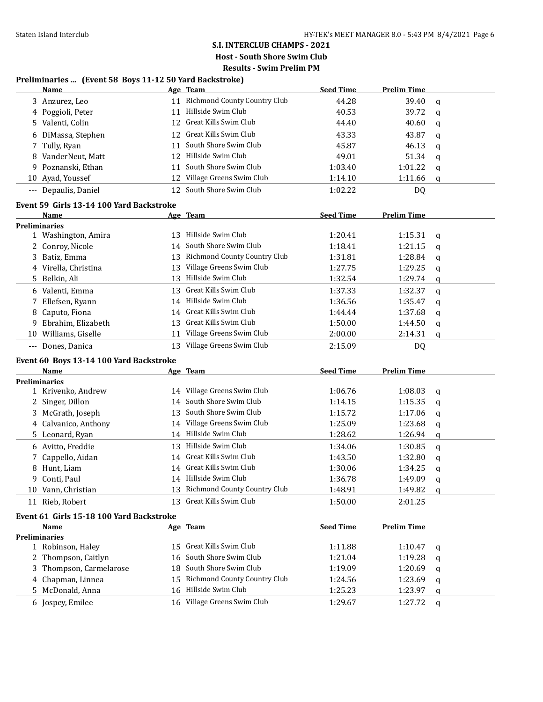# **S.I. INTERCLUB CHAMPS - 2021**

**Host - South Shore Swim Club Results - Swim Prelim PM**

**Preliminaries ... (Event 58 Boys 11-12 50 Yard Backstroke)**

|                      | <u>Name</u>                              |    | Age Team                        | <b>Seed Time</b>   | <b>Prelim Time</b> |             |
|----------------------|------------------------------------------|----|---------------------------------|--------------------|--------------------|-------------|
|                      | 3 Anzurez, Leo                           |    | 11 Richmond County Country Club | 44.28              | 39.40              | $\mathbf q$ |
|                      | 4 Poggioli, Peter                        |    | 11 Hillside Swim Club           | 40.53              | 39.72              | q           |
|                      | 5 Valenti, Colin                         |    | 12 Great Kills Swim Club        | 44.40              | 40.60              | q           |
|                      | 6 DiMassa, Stephen                       |    | 12 Great Kills Swim Club        | 43.33              | 43.87              | q           |
| 7                    | Tully, Ryan                              | 11 | South Shore Swim Club           | 45.87              | 46.13              | q           |
| 8                    | VanderNeut, Matt                         | 12 | Hillside Swim Club              | 49.01              | 51.34              | q           |
| 9                    | Poznanski, Ethan                         | 11 | South Shore Swim Club           | 1:03.40            | 1:01.22            | q           |
|                      | 10 Ayad, Youssef                         | 12 | Village Greens Swim Club        | 1:14.10            | 1:11.66            | q           |
|                      | --- Depaulis, Daniel                     | 12 | South Shore Swim Club           | 1:02.22            | DQ                 |             |
|                      | Event 59 Girls 13-14 100 Yard Backstroke |    |                                 |                    |                    |             |
|                      | Name                                     |    | Age Team                        | <b>Seed Time</b>   | <b>Prelim Time</b> |             |
|                      | <b>Preliminaries</b>                     |    |                                 |                    |                    |             |
|                      | 1 Washington, Amira                      | 13 | Hillside Swim Club              | 1:20.41            | 1:15.31            | q           |
|                      | 2 Conroy, Nicole                         | 14 | South Shore Swim Club           | 1:18.41            | 1:21.15            | q           |
|                      | 3 Batiz, Emma                            | 13 | Richmond County Country Club    | 1:31.81            | 1:28.84            | q           |
|                      | 4 Virella, Christina                     | 13 | Village Greens Swim Club        | 1:27.75            | 1:29.25            | q           |
| 5.                   | Belkin, Ali                              | 13 | Hillside Swim Club              | 1:32.54            | 1:29.74            | q           |
|                      | 6 Valenti, Emma                          | 13 | Great Kills Swim Club           | 1:37.33            | 1:32.37            | q           |
|                      | 7 Ellefsen, Ryann                        |    | 14 Hillside Swim Club           | 1:36.56            | 1:35.47            | q           |
| 8.                   | Caputo, Fiona                            |    | 14 Great Kills Swim Club        | 1:44.44            | 1:37.68            | q           |
| 9.                   | Ebrahim, Elizabeth                       | 13 | Great Kills Swim Club           | 1:50.00            | 1:44.50            | q           |
|                      | 10 Williams, Giselle                     |    | 11 Village Greens Swim Club     | 2:00.00            | 2:14.31            | q           |
| $\cdots$             | Dones, Danica                            | 13 | Village Greens Swim Club        | 2:15.09            | <b>DQ</b>          |             |
|                      | Event 60 Boys 13-14 100 Yard Backstroke  |    |                                 |                    |                    |             |
|                      | Name                                     |    | Age Team                        | <b>Seed Time</b>   | <b>Prelim Time</b> |             |
|                      | <b>Preliminaries</b>                     |    |                                 |                    |                    |             |
|                      | 1 Krivenko, Andrew                       |    | 14 Village Greens Swim Club     | 1:06.76            | 1:08.03            | q           |
|                      | 2 Singer, Dillon                         |    | 14 South Shore Swim Club        | 1:14.15            | 1:15.35            | q           |
|                      | 3 McGrath, Joseph                        | 13 | South Shore Swim Club           | 1:15.72            | 1:17.06            | q           |
|                      | 4 Calvanico, Anthony                     |    | 14 Village Greens Swim Club     | 1:25.09            | 1:23.68            | q           |
|                      | 5 Leonard, Ryan                          |    | 14 Hillside Swim Club           | 1:28.62            | 1:26.94            | q           |
|                      | 6 Avitto, Freddie                        | 13 | Hillside Swim Club              | 1:34.06            | 1:30.85            | q           |
| 7.                   | Cappello, Aidan                          |    | 14 Great Kills Swim Club        | 1:43.50            | 1:32.80            | q           |
| 8                    | Hunt, Liam                               |    | 14 Great Kills Swim Club        | 1:30.06            | 1:34.25            | q           |
|                      | 9 Conti, Paul                            |    | 14 Hillside Swim Club           | 1:36.78            | 1:49.09            | q           |
|                      | 10 Vann, Christian                       |    | 13 Richmond County Country Club | 1:48.91            | 1:49.82            | q           |
|                      | 11 Rieb, Robert                          | 13 | Great Kills Swim Club           | 1:50.00            | 2:01.25            |             |
|                      | Event 61 Girls 15-18 100 Yard Backstroke |    |                                 |                    |                    |             |
|                      | Name                                     |    | Age Team                        | <b>Seed Time</b>   | <b>Prelim Time</b> |             |
|                      |                                          |    |                                 |                    |                    |             |
| <b>Preliminaries</b> |                                          |    |                                 |                    |                    |             |
|                      | 1 Robinson, Haley                        |    | 15 Great Kills Swim Club        | 1:11.88            | 1:10.47            | q           |
|                      | 2 Thompson, Caitlyn                      | 16 | South Shore Swim Club           | 1:21.04            | 1:19.28            | q           |
| 3                    | Thompson, Carmelarose                    | 18 | South Shore Swim Club           | 1:19.09            | 1:20.69            | q           |
| 4                    |                                          | 15 | Richmond County Country Club    |                    |                    |             |
|                      | Chapman, Linnea                          |    | 16 Hillside Swim Club           | 1:24.56            | 1:23.69            | q           |
|                      | 5 McDonald, Anna<br>6 Jospey, Emilee     |    | 16 Village Greens Swim Club     | 1:25.23<br>1:29.67 | 1:23.97<br>1:27.72 | q<br>q      |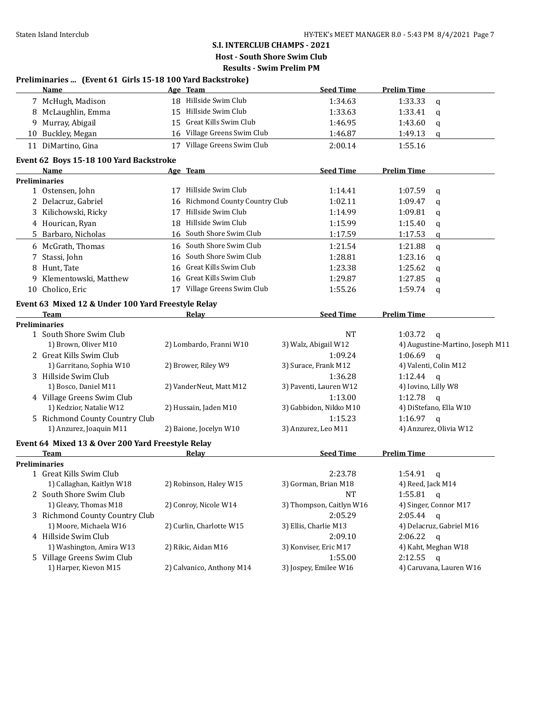|    | Preliminaries  (Event 61 Girls 15-18 100 Yard Backstroke) |    |                                 |                          |                     |                                  |
|----|-----------------------------------------------------------|----|---------------------------------|--------------------------|---------------------|----------------------------------|
|    | Name                                                      |    | Age Team                        | <b>Seed Time</b>         | <b>Prelim Time</b>  |                                  |
|    | 7 McHugh, Madison                                         |    | 18 Hillside Swim Club           | 1:34.63                  | 1:33.33             | q                                |
|    | 8 McLaughlin, Emma                                        |    | 15 Hillside Swim Club           | 1:33.63                  | 1:33.41             | q                                |
| 9. | Murray, Abigail                                           | 15 | Great Kills Swim Club           | 1:46.95                  | 1:43.60             | q                                |
|    | 10 Buckley, Megan                                         |    | 16 Village Greens Swim Club     | 1:46.87                  | 1:49.13             | q                                |
|    | 11 DiMartino, Gina                                        |    | 17 Village Greens Swim Club     | 2:00.14                  | 1:55.16             |                                  |
|    | Event 62 Boys 15-18 100 Yard Backstroke                   |    |                                 |                          |                     |                                  |
|    | Name                                                      |    | Age Team                        | <b>Seed Time</b>         | <b>Prelim Time</b>  |                                  |
|    | Preliminaries                                             |    |                                 |                          |                     |                                  |
|    | 1 Ostensen, John                                          |    | 17 Hillside Swim Club           | 1:14.41                  | 1:07.59             | q                                |
|    | 2 Delacruz, Gabriel                                       |    | 16 Richmond County Country Club | 1:02.11                  | 1:09.47             | q                                |
|    | 3 Kilichowski, Ricky                                      |    | 17 Hillside Swim Club           | 1:14.99                  | 1:09.81             | q                                |
|    | 4 Hourican, Ryan                                          |    | 18 Hillside Swim Club           | 1:15.99                  | 1:15.40             | q                                |
|    | 5 Barbaro, Nicholas                                       |    | 16 South Shore Swim Club        | 1:17.59                  | 1:17.53             | q                                |
|    | 6 McGrath, Thomas                                         |    | 16 South Shore Swim Club        | 1:21.54                  | 1:21.88             | $\mathsf{q}$                     |
|    | 7 Stassi, John                                            |    | 16 South Shore Swim Club        | 1:28.81                  | 1:23.16             | q                                |
|    | 8 Hunt, Tate                                              | 16 | Great Kills Swim Club           | 1:23.38                  | 1:25.62             | q                                |
|    | 9 Klementowski, Matthew                                   |    | 16 Great Kills Swim Club        | 1:29.87                  | 1:27.85             | q                                |
|    | 10 Cholico, Eric                                          |    | 17 Village Greens Swim Club     | 1:55.26                  | 1:59.74             | q                                |
|    | Event 63 Mixed 12 & Under 100 Yard Freestyle Relay        |    |                                 |                          |                     |                                  |
|    | <b>Team</b>                                               |    | Relay                           | <b>Seed Time</b>         | <b>Prelim Time</b>  |                                  |
|    | <b>Preliminaries</b>                                      |    |                                 |                          |                     |                                  |
|    | 1 South Shore Swim Club                                   |    |                                 | <b>NT</b>                | 1:03.72             | $\mathsf{q}$                     |
|    | 1) Brown, Oliver M10                                      |    | 2) Lombardo, Franni W10         | 3) Walz, Abigail W12     |                     | 4) Augustine-Martino, Joseph M11 |
|    | 2 Great Kills Swim Club                                   |    |                                 | 1:09.24                  | 1:06.69             | $\mathbf{q}$                     |
|    | 1) Garritano, Sophia W10                                  |    | 2) Brower, Riley W9             | 3) Surace, Frank M12     |                     | 4) Valenti, Colin M12            |
|    | 3 Hillside Swim Club                                      |    |                                 | 1:36.28                  | 1:12.44 $q$         |                                  |
|    | 1) Bosco, Daniel M11                                      |    | 2) VanderNeut, Matt M12         | 3) Paventi, Lauren W12   | 4) Iovino, Lilly W8 |                                  |
|    | 4 Village Greens Swim Club                                |    |                                 | 1:13.00                  | 1:12.78             | $\mathbf{q}$                     |
|    | 1) Kedzior, Natalie W12                                   |    | 2) Hussain, Jaden M10           | 3) Gabbidon, Nikko M10   |                     | 4) DiStefano, Ella W10           |
|    | 5 Richmond County Country Club                            |    |                                 | 1:15.23                  | 1:16.97             | $\alpha$                         |
|    | 1) Anzurez, Joaquin M11                                   |    | 2) Baione, Jocelyn W10          | 3) Anzurez, Leo M11      |                     | 4) Anzurez, Olivia W12           |
|    | Event 64 Mixed 13 & Over 200 Yard Freestyle Relay         |    |                                 |                          |                     |                                  |
|    | <b>Team</b>                                               |    | Relay                           | <b>Seed Time</b>         | <b>Prelim Time</b>  |                                  |
|    | <b>Preliminaries</b>                                      |    |                                 |                          |                     |                                  |
|    | 1 Great Kills Swim Club                                   |    |                                 | 2:23.78                  | 1:54.91 $q$         |                                  |
|    | 1) Callaghan, Kaitlyn W18                                 |    | 2) Robinson, Haley W15          | 3) Gorman, Brian M18     | 4) Reed, Jack M14   |                                  |
|    | 2 South Shore Swim Club                                   |    |                                 | <b>NT</b>                | 1:55.81             | $\mathbf{q}$                     |
|    | 1) Gleavy, Thomas M18                                     |    | 2) Conroy, Nicole W14           | 3) Thompson, Caitlyn W16 |                     | 4) Singer, Connor M17            |
|    | 3 Richmond County Country Club                            |    |                                 | 2:05.29                  | 2:05.44             | $\mathbf{q}$                     |
|    | 1) Moore, Michaela W16                                    |    | 2) Curlin, Charlotte W15        | 3) Ellis, Charlie M13    |                     | 4) Delacruz, Gabriel M16         |
|    | 4 Hillside Swim Club                                      |    |                                 | 2:09.10                  | 2:06.22             | $\mathbf{q}$                     |
|    | 1) Washington, Amira W13                                  |    | 2) Rikic, Aidan M16             | 3) Konviser, Eric M17    |                     | 4) Kaht, Meghan W18              |
|    | 5 Village Greens Swim Club                                |    |                                 | 1:55.00                  | 2:12.55             | $\mathbf{q}$                     |
|    | 1) Harper, Kievon M15                                     |    | 2) Calvanico, Anthony M14       | 3) Jospey, Emilee W16    |                     | 4) Caruvana, Lauren W16          |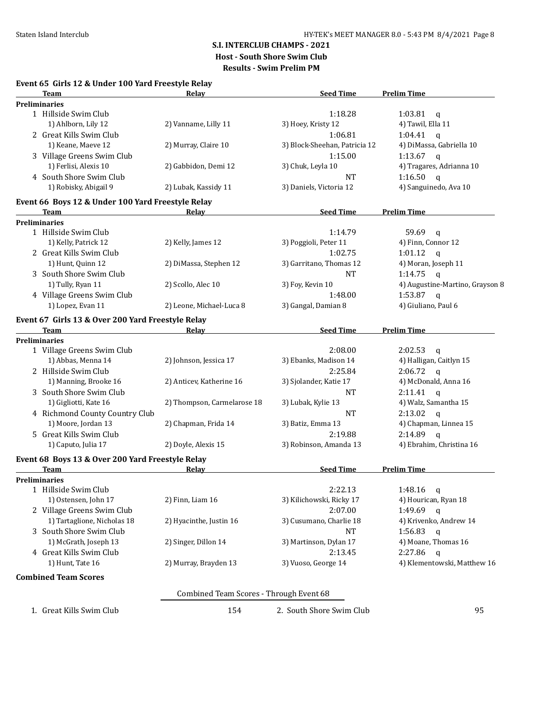## **S.I. INTERCLUB CHAMPS - 2021**

**Host - South Shore Swim Club**

**Results - Swim Prelim PM**

|                      | Team                                                      | Relay                                   | <b>Seed Time</b>              | <b>Prelim Time</b>              |
|----------------------|-----------------------------------------------------------|-----------------------------------------|-------------------------------|---------------------------------|
| <b>Preliminaries</b> |                                                           |                                         |                               |                                 |
|                      | 1 Hillside Swim Club                                      |                                         | 1:18.28                       | 1:03.81<br>q                    |
|                      | 1) Ahlborn, Lily 12                                       | 2) Vanname, Lilly 11                    | 3) Hoey, Kristy 12            | 4) Tawil, Ella 11               |
|                      | 2 Great Kills Swim Club                                   |                                         | 1:06.81                       | 1:04.41<br>$\alpha$             |
|                      | 1) Keane, Maeve 12                                        | 2) Murray, Claire 10                    | 3) Block-Sheehan, Patricia 12 | 4) DiMassa, Gabriella 10        |
|                      | 3 Village Greens Swim Club                                |                                         | 1:15.00                       | 1:13.67 $q$                     |
|                      | 1) Ferlisi, Alexis 10                                     | 2) Gabbidon, Demi 12                    | 3) Chuk, Leyla 10             | 4) Tragares, Adrianna 10        |
|                      | 4 South Shore Swim Club                                   |                                         | <b>NT</b>                     | 1:16.50<br>$\mathsf{q}$         |
|                      | 1) Robisky, Abigail 9                                     | 2) Lubak, Kassidy 11                    | 3) Daniels, Victoria 12       | 4) Sanguinedo, Ava 10           |
|                      | Event 66 Boys 12 & Under 100 Yard Freestyle Relay<br>Team | Relay                                   | <b>Seed Time</b>              | <b>Prelim Time</b>              |
| <b>Preliminaries</b> |                                                           |                                         |                               |                                 |
|                      | 1 Hillside Swim Club                                      |                                         | 1:14.79                       | 59.69<br>$\mathbf{q}$           |
|                      | 1) Kelly, Patrick 12                                      | 2) Kelly, James 12                      | 3) Poggioli, Peter 11         | 4) Finn, Connor 12              |
|                      | 2 Great Kills Swim Club                                   |                                         | 1:02.75                       | 1:01.12<br>$\mathbf{q}$         |
|                      | 1) Hunt, Quinn 12                                         | 2) DiMassa, Stephen 12                  | 3) Garritano, Thomas 12       | 4) Moran, Joseph 11             |
|                      |                                                           |                                         |                               |                                 |
|                      | 3 South Shore Swim Club                                   |                                         | <b>NT</b>                     | 1:14.75<br>$\mathbf{q}$         |
|                      | 1) Tully, Ryan 11                                         | 2) Scollo, Alec 10                      | 3) Foy, Kevin 10              | 4) Augustine-Martino, Grayson 8 |
|                      | 4 Village Greens Swim Club                                |                                         | 1:48.00                       | 1:53.87<br>$\mathsf{q}$         |
|                      | 1) Lopez, Evan 11                                         | 2) Leone, Michael-Luca 8                | 3) Gangal, Damian 8           | 4) Giuliano, Paul 6             |
|                      | Event 67 Girls 13 & Over 200 Yard Freestyle Relay         |                                         |                               |                                 |
|                      | Team                                                      | Relay                                   | <b>Seed Time</b>              | <b>Prelim Time</b>              |
| <b>Preliminaries</b> |                                                           |                                         |                               |                                 |
|                      | 1 Village Greens Swim Club                                |                                         | 2:08.00                       | 2:02.53<br>q                    |
|                      | 1) Abbas, Menna 14                                        | 2) Johnson, Jessica 17                  | 3) Ebanks, Madison 14         | 4) Halligan, Caitlyn 15         |
|                      | 2 Hillside Swim Club                                      |                                         | 2:25.84                       | 2:06.72<br>$\mathbf{q}$         |
|                      | 1) Manning, Brooke 16                                     | 2) Anticev, Katherine 16                | 3) Sjolander, Katie 17        | 4) McDonald, Anna 16            |
|                      | 3 South Shore Swim Club                                   |                                         | <b>NT</b>                     | $2:11.41$ q                     |
|                      | 1) Gigliotti, Kate 16                                     | 2) Thompson, Carmelarose 18             | 3) Lubak, Kylie 13            | 4) Walz, Samantha 15            |
|                      | 4 Richmond County Country Club                            |                                         | <b>NT</b>                     | 2:13.02<br>$\mathbf{q}$         |
|                      | 1) Moore, Jordan 13                                       | 2) Chapman, Frida 14                    | 3) Batiz, Emma 13             | 4) Chapman, Linnea 15           |
|                      | 5 Great Kills Swim Club                                   |                                         | 2:19.88                       | $2:14.89$ q                     |
|                      | 1) Caputo, Julia 17                                       | 2) Doyle, Alexis 15                     | 3) Robinson, Amanda 13        | 4) Ebrahim, Christina 16        |
|                      | Event 68 Boys 13 & Over 200 Yard Freestyle Relay          |                                         |                               |                                 |
|                      | Team                                                      | Relay                                   | <b>Seed Time</b>              | <b>Prelim Time</b>              |
| Preliminaries        |                                                           |                                         |                               |                                 |
|                      | 1 Hillside Swim Club                                      |                                         | 2:22.13                       | 1:48.16<br>q                    |
|                      | 1) Ostensen, John 17                                      | $2)$ Finn, Liam $16$                    | 3) Kilichowski, Ricky 17      | 4) Hourican, Ryan 18            |
|                      | 2 Village Greens Swim Club                                |                                         | 2:07.00                       | 1:49.69<br>$\mathbf{q}$         |
|                      | 1) Tartaglione, Nicholas 18                               | 2) Hyacinthe, Justin 16                 | 3) Cusumano, Charlie 18       | 4) Krivenko, Andrew 14          |
|                      | 3 South Shore Swim Club                                   |                                         | <b>NT</b>                     | 1:56.83                         |
|                      |                                                           |                                         |                               | $\mathsf{q}$                    |
|                      | 1) McGrath, Joseph 13                                     | 2) Singer, Dillon 14                    | 3) Martinson, Dylan 17        | 4) Moane, Thomas 16             |
|                      | 4 Great Kills Swim Club                                   |                                         | 2:13.45                       | 2:27.86<br>$\mathsf{q}$         |
|                      | 1) Hunt, Tate 16                                          | 2) Murray, Brayden 13                   | 3) Vuoso, George 14           | 4) Klementowski, Matthew 16     |
|                      | <b>Combined Team Scores</b>                               |                                         |                               |                                 |
|                      |                                                           | Combined Team Scores - Through Event 68 |                               |                                 |
|                      | 1. Great Kills Swim Club                                  | 154                                     | 2. South Shore Swim Club      | 95                              |
|                      |                                                           |                                         |                               |                                 |